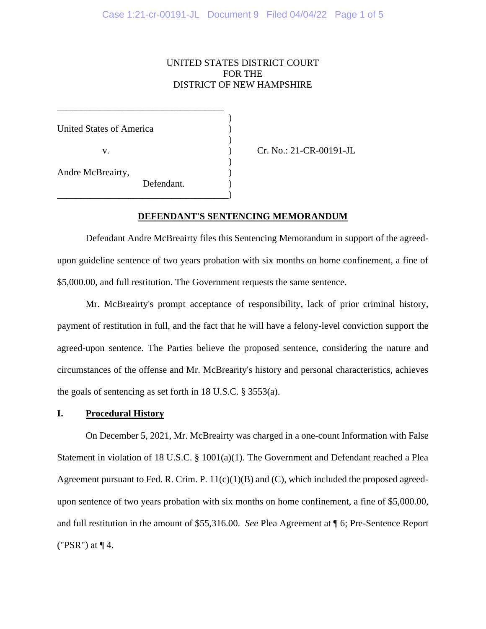### UNITED STATES DISTRICT COURT FOR THE DISTRICT OF NEW HAMPSHIRE

) United States of America ) ) v. **(a)** Cr. No.: 21-CR-00191-JL  $\mathcal{L}$ Andre McBreairty, ) Defendant. \_\_\_\_\_\_\_\_\_\_\_\_\_\_\_\_\_\_\_\_\_\_\_\_\_\_\_\_\_\_\_\_\_\_\_\_)

\_\_\_\_\_\_\_\_\_\_\_\_\_\_\_\_\_\_\_\_\_\_\_\_\_\_\_\_\_\_\_\_\_\_\_

#### **DEFENDANT'S SENTENCING MEMORANDUM**

Defendant Andre McBreairty files this Sentencing Memorandum in support of the agreedupon guideline sentence of two years probation with six months on home confinement, a fine of \$5,000.00, and full restitution. The Government requests the same sentence.

Mr. McBreairty's prompt acceptance of responsibility, lack of prior criminal history, payment of restitution in full, and the fact that he will have a felony-level conviction support the agreed-upon sentence. The Parties believe the proposed sentence, considering the nature and circumstances of the offense and Mr. McBrearity's history and personal characteristics, achieves the goals of sentencing as set forth in 18 U.S.C. § 3553(a).

### **I. Procedural History**

On December 5, 2021, Mr. McBreairty was charged in a one-count Information with False Statement in violation of 18 U.S.C. § 1001(a)(1). The Government and Defendant reached a Plea Agreement pursuant to Fed. R. Crim. P.  $11(c)(1)(B)$  and (C), which included the proposed agreedupon sentence of two years probation with six months on home confinement, a fine of \$5,000.00, and full restitution in the amount of \$55,316.00. *See* Plea Agreement at ¶ 6; Pre-Sentence Report ("PSR") at  $\P$  4.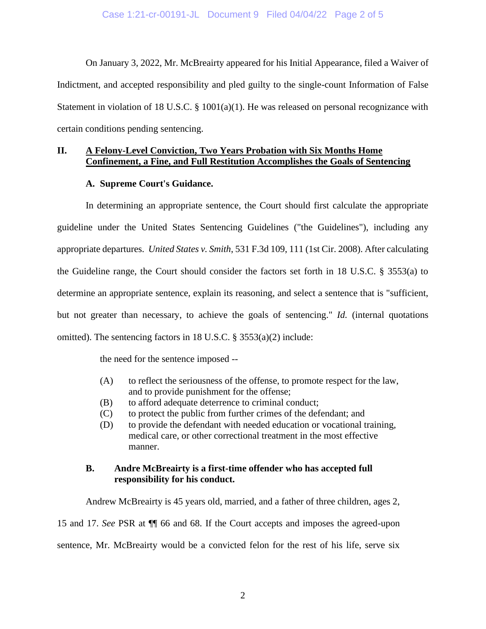On January 3, 2022, Mr. McBreairty appeared for his Initial Appearance, filed a Waiver of Indictment, and accepted responsibility and pled guilty to the single-count Information of False Statement in violation of 18 U.S.C.  $\S$  1001(a)(1). He was released on personal recognizance with certain conditions pending sentencing.

## **II. A Felony-Level Conviction, Two Years Probation with Six Months Home Confinement, a Fine, and Full Restitution Accomplishes the Goals of Sentencing**

### **A. Supreme Court's Guidance.**

In determining an appropriate sentence, the Court should first calculate the appropriate guideline under the United States Sentencing Guidelines ("the Guidelines"), including any appropriate departures. *United States v. Smith*, 531 F.3d 109, 111 (1st Cir. 2008). After calculating the Guideline range, the Court should consider the factors set forth in 18 U.S.C. § 3553(a) to determine an appropriate sentence, explain its reasoning, and select a sentence that is "sufficient, but not greater than necessary, to achieve the goals of sentencing." *Id.* (internal quotations omitted). The sentencing factors in 18 U.S.C. § 3553(a)(2) include:

the need for the sentence imposed --

- (A) to reflect the seriousness of the offense, to promote respect for the law, and to provide punishment for the offense;
- (B) to afford adequate deterrence to criminal conduct;
- (C) to protect the public from further crimes of the defendant; and
- (D) to provide the defendant with needed education or vocational training, medical care, or other correctional treatment in the most effective manner.

### **B. Andre McBreairty is a first-time offender who has accepted full responsibility for his conduct.**

Andrew McBreairty is 45 years old, married, and a father of three children, ages 2, 15 and 17. *See* PSR at ¶¶ 66 and 68. If the Court accepts and imposes the agreed-upon sentence, Mr. McBreairty would be a convicted felon for the rest of his life, serve six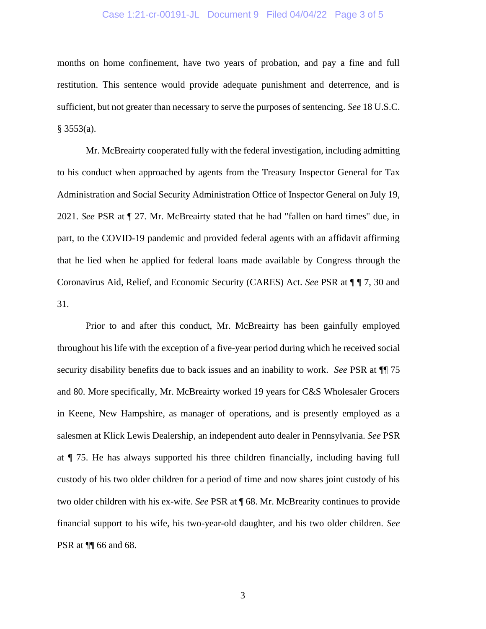### Case 1:21-cr-00191-JL Document 9 Filed 04/04/22 Page 3 of 5

months on home confinement, have two years of probation, and pay a fine and full restitution. This sentence would provide adequate punishment and deterrence, and is sufficient, but not greater than necessary to serve the purposes of sentencing. *See* 18 U.S.C.  $§$  3553(a).

Mr. McBreairty cooperated fully with the federal investigation, including admitting to his conduct when approached by agents from the Treasury Inspector General for Tax Administration and Social Security Administration Office of Inspector General on July 19, 2021. *See* PSR at ¶ 27. Mr. McBreairty stated that he had "fallen on hard times" due, in part, to the COVID-19 pandemic and provided federal agents with an affidavit affirming that he lied when he applied for federal loans made available by Congress through the Coronavirus Aid, Relief, and Economic Security (CARES) Act. *See* PSR at ¶ ¶ 7, 30 and 31.

Prior to and after this conduct, Mr. McBreairty has been gainfully employed throughout his life with the exception of a five-year period during which he received social security disability benefits due to back issues and an inability to work. *See* PSR at ¶¶ 75 and 80. More specifically, Mr. McBreairty worked 19 years for C&S Wholesaler Grocers in Keene, New Hampshire, as manager of operations, and is presently employed as a salesmen at Klick Lewis Dealership, an independent auto dealer in Pennsylvania. *See* PSR at ¶ 75. He has always supported his three children financially, including having full custody of his two older children for a period of time and now shares joint custody of his two older children with his ex-wife. *See* PSR at ¶ 68. Mr. McBrearity continues to provide financial support to his wife, his two-year-old daughter, and his two older children. *See*  PSR at ¶¶ 66 and 68.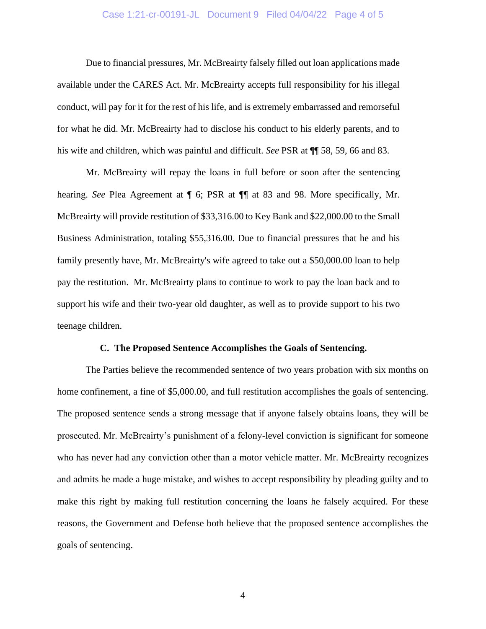### Case 1:21-cr-00191-JL Document 9 Filed 04/04/22 Page 4 of 5

Due to financial pressures, Mr. McBreairty falsely filled out loan applications made available under the CARES Act. Mr. McBreairty accepts full responsibility for his illegal conduct, will pay for it for the rest of his life, and is extremely embarrassed and remorseful for what he did. Mr. McBreairty had to disclose his conduct to his elderly parents, and to his wife and children, which was painful and difficult. *See* PSR at ¶¶ 58, 59, 66 and 83.

Mr. McBreairty will repay the loans in full before or soon after the sentencing hearing. *See* Plea Agreement at ¶ 6; PSR at ¶¶ at 83 and 98. More specifically, Mr. McBreairty will provide restitution of \$33,316.00 to Key Bank and \$22,000.00 to the Small Business Administration, totaling \$55,316.00. Due to financial pressures that he and his family presently have, Mr. McBreairty's wife agreed to take out a \$50,000.00 loan to help pay the restitution. Mr. McBreairty plans to continue to work to pay the loan back and to support his wife and their two-year old daughter, as well as to provide support to his two teenage children.

#### **C. The Proposed Sentence Accomplishes the Goals of Sentencing.**

The Parties believe the recommended sentence of two years probation with six months on home confinement, a fine of \$5,000.00, and full restitution accomplishes the goals of sentencing. The proposed sentence sends a strong message that if anyone falsely obtains loans, they will be prosecuted. Mr. McBreairty's punishment of a felony-level conviction is significant for someone who has never had any conviction other than a motor vehicle matter. Mr. McBreairty recognizes and admits he made a huge mistake, and wishes to accept responsibility by pleading guilty and to make this right by making full restitution concerning the loans he falsely acquired. For these reasons, the Government and Defense both believe that the proposed sentence accomplishes the goals of sentencing.